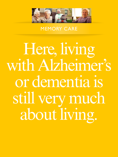

MEMORY CARE

Here, living with Alzheimer's or dementia is still very much about living.